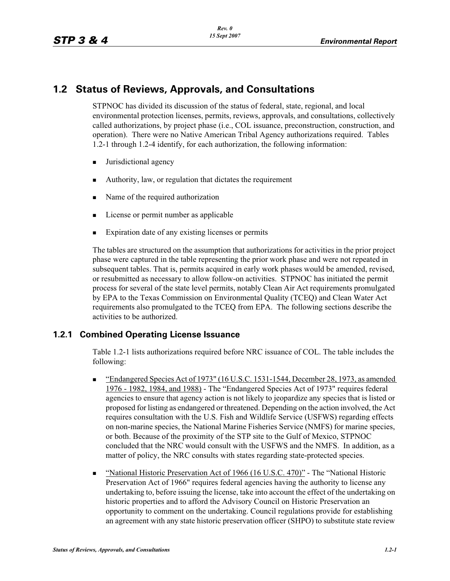# **1.2 Status of Reviews, Approvals, and Consultations**

STPNOC has divided its discussion of the status of federal, state, regional, and local environmental protection licenses, permits, reviews, approvals, and consultations, collectively called authorizations, by project phase (i.e., COL issuance, preconstruction, construction, and operation). There were no Native American Tribal Agency authorizations required. Tables 1.2-1 through 1.2-4 identify, for each authorization, the following information:

- -Jurisdictional agency
- -Authority, law, or regulation that dictates the requirement
- -Name of the required authorization
- -License or permit number as applicable
- -Expiration date of any existing licenses or permits

The tables are structured on the assumption that authorizations for activities in the prior project phase were captured in the table representing the prior work phase and were not repeated in subsequent tables. That is, permits acquired in early work phases would be amended, revised, or resubmitted as necessary to allow follow-on activities. STPNOC has initiated the permit process for several of the state level permits, notably Clean Air Act requirements promulgated by EPA to the Texas Commission on Environmental Quality (TCEQ) and Clean Water Act requirements also promulgated to the TCEQ from EPA. The following sections describe the activities to be authorized.

### **1.2.1 Combined Operating License Issuance**

Table 1.2-1 lists authorizations required before NRC issuance of COL. The table includes the following:

- - "Endangered Species Act of 1973" (16 U.S.C. 1531-1544, December 28, 1973, as amended 1976 - 1982, 1984, and 1988) - The "Endangered Species Act of 1973" requires federal agencies to ensure that agency action is not likely to jeopardize any species that is listed or proposed for listing as endangered or threatened. Depending on the action involved, the Act requires consultation with the U.S. Fish and Wildlife Service (USFWS) regarding effects on non-marine species, the National Marine Fisheries Service (NMFS) for marine species, or both. Because of the proximity of the STP site to the Gulf of Mexico, STPNOC concluded that the NRC would consult with the USFWS and the NMFS. In addition, as a matter of policy, the NRC consults with states regarding state-protected species.
- - "National Historic Preservation Act of 1966 (16 U.S.C. 470)" - The "National Historic Preservation Act of 1966" requires federal agencies having the authority to license any undertaking to, before issuing the license, take into account the effect of the undertaking on historic properties and to afford the Advisory Council on Historic Preservation an opportunity to comment on the undertaking. Council regulations provide for establishing an agreement with any state historic preservation officer (SHPO) to substitute state review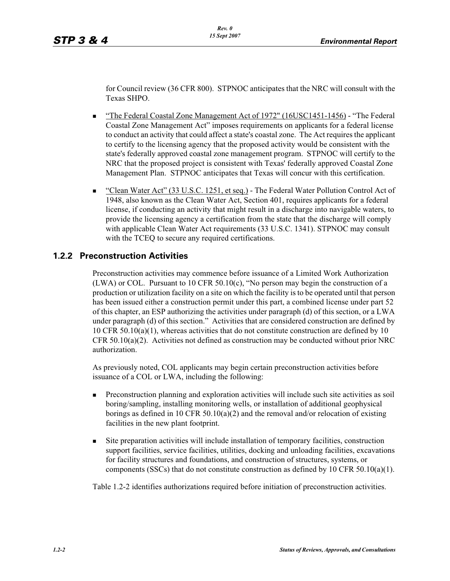for Council review (36 CFR 800). STPNOC anticipates that the NRC will consult with the Texas SHPO.

- - "The Federal Coastal Zone Management Act of 1972" (16USC1451-1456) - "The Federal Coastal Zone Management Act" imposes requirements on applicants for a federal license to conduct an activity that could affect a state's coastal zone. The Act requires the applicant to certify to the licensing agency that the proposed activity would be consistent with the state's federally approved coastal zone management program. STPNOC will certify to the NRC that the proposed project is consistent with Texas' federally approved Coastal Zone Management Plan. STPNOC anticipates that Texas will concur with this certification.
- - "Clean Water Act" (33 U.S.C. 1251, et seq.) - The Federal Water Pollution Control Act of 1948, also known as the Clean Water Act, Section 401, requires applicants for a federal license, if conducting an activity that might result in a discharge into navigable waters, to provide the licensing agency a certification from the state that the discharge will comply with applicable Clean Water Act requirements (33 U.S.C. 1341). STPNOC may consult with the TCEQ to secure any required certifications.

### **1.2.2 Preconstruction Activities**

Preconstruction activities may commence before issuance of a Limited Work Authorization (LWA) or COL. Pursuant to 10 CFR 50.10(c), "No person may begin the construction of a production or utilization facility on a site on which the facility is to be operated until that person has been issued either a construction permit under this part, a combined license under part 52 of this chapter, an ESP authorizing the activities under paragraph (d) of this section, or a LWA under paragraph (d) of this section." Activities that are considered construction are defined by 10 CFR 50.10(a)(1), whereas activities that do not constitute construction are defined by 10 CFR 50.10(a)(2). Activities not defined as construction may be conducted without prior NRC authorization.

As previously noted, COL applicants may begin certain preconstruction activities before issuance of a COL or LWA, including the following:

- - Preconstruction planning and exploration activities will include such site activities as soil boring/sampling, installing monitoring wells, or installation of additional geophysical borings as defined in 10 CFR 50.10(a)(2) and the removal and/or relocation of existing facilities in the new plant footprint.
- - Site preparation activities will include installation of temporary facilities, construction support facilities, service facilities, utilities, docking and unloading facilities, excavations for facility structures and foundations, and construction of structures, systems, or components (SSCs) that do not constitute construction as defined by 10 CFR 50.10(a)(1).

Table 1.2-2 identifies authorizations required before initiation of preconstruction activities.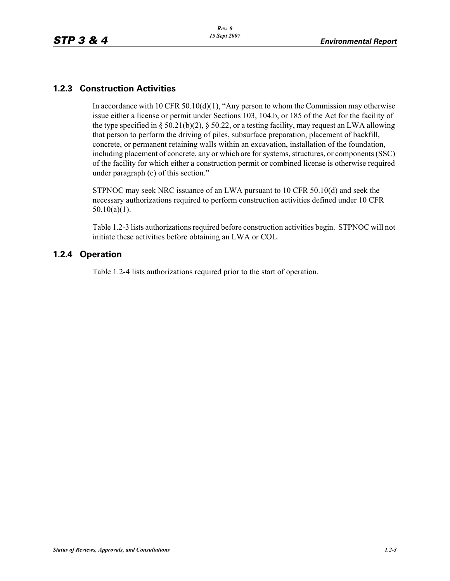## **1.2.3 Construction Activities**

In accordance with 10 CFR 50.10(d)(1), "Any person to whom the Commission may otherwise issue either a license or permit under Sections 103, 104.b, or 185 of the Act for the facility of the type specified in § 50.21(b)(2), § 50.22, or a testing facility, may request an LWA allowing that person to perform the driving of piles, subsurface preparation, placement of backfill, concrete, or permanent retaining walls within an excavation, installation of the foundation, including placement of concrete, any or which are for systems, structures, or components (SSC) of the facility for which either a construction permit or combined license is otherwise required under paragraph (c) of this section."

STPNOC may seek NRC issuance of an LWA pursuant to 10 CFR 50.10(d) and seek the necessary authorizations required to perform construction activities defined under 10 CFR  $50.10(a)(1)$ .

Table 1.2-3 lists authorizations required before construction activities begin. STPNOC will not initiate these activities before obtaining an LWA or COL.

### **1.2.4 Operation**

Table 1.2-4 lists authorizations required prior to the start of operation.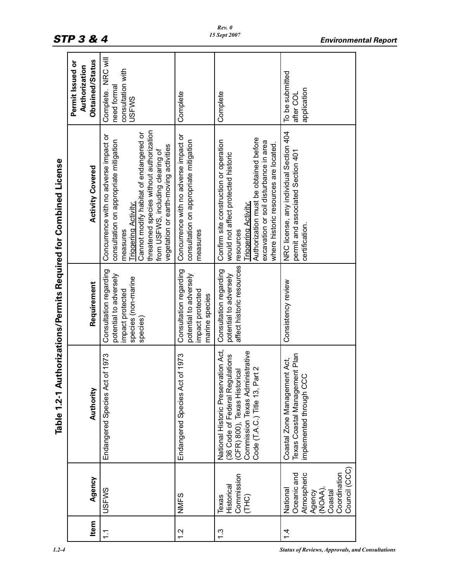|                                                     | Obtained/Status<br>Permit Issued or<br>Authorization | NRC will<br>consultation with<br>need formal<br>Complete.<br>USFWS                                                                                                                                                                                                                             | Complete                                                                                    | Complete                                                                                                                                                                                                                                              | To be submitted<br>application<br>after COL                                                             |
|-----------------------------------------------------|------------------------------------------------------|------------------------------------------------------------------------------------------------------------------------------------------------------------------------------------------------------------------------------------------------------------------------------------------------|---------------------------------------------------------------------------------------------|-------------------------------------------------------------------------------------------------------------------------------------------------------------------------------------------------------------------------------------------------------|---------------------------------------------------------------------------------------------------------|
| uthorizations/Permits Required for Combined License | <b>Activity Covered</b>                              | threatened species without authorization<br>Cannot modify habitat of endangered or<br>Concurrence with no adverse impact or<br>consultation on appropriate mitigation<br>vegetation or earth-moving activities<br>from USFWS, including clearing of<br><b>Triggering Activity:</b><br>measures | Concurrence with no adverse impact or<br>consultation on appropriate mitigation<br>measures | Authorization must be obtained before<br>Confirm site construction or operation<br>excavation or soil disturbance in area<br>where historic resources are located.<br>would not affect protected historic<br><b>Triggering Activity:</b><br>resources | NRC license, any individual Section 404<br>permit and associated Section 401<br>certification.          |
|                                                     | Requirement                                          | Consultation regarding<br>potential to adversely<br>species (non-marine<br>impact protected<br>species)                                                                                                                                                                                        | Consultation regarding<br>potential to adversely<br>impact protected<br>marine species      | affect historic resources<br>Consultation regarding<br>potential to adversely                                                                                                                                                                         | Consistency review                                                                                      |
| Table 1.2-1 A                                       | Authority                                            | of 1973<br>Endangered Species Act                                                                                                                                                                                                                                                              | of 1973<br>Endangered Species Act                                                           | ation Act,<br>(CFR) 800), Texas Historical<br>Commission Texas Administrative<br>(36 Code of Federal Regulations<br>Code (T.A.C.) Title 13, Part 2<br>National Historic Preserv                                                                       | Texas Coastal Management Plan<br>Coastal Zone Management Act,<br>mplemented through CCC                 |
|                                                     | Agency                                               | <b>USFWS</b>                                                                                                                                                                                                                                                                                   | <b>NMFS</b>                                                                                 | Commission<br>Historical<br>Texas<br>(THC)                                                                                                                                                                                                            | Council (CCC)<br>Oceanic and<br>Atmospheric<br>Coordination<br>(NOAA),<br>Coastal<br>National<br>Agency |
|                                                     | Item                                                 | $\frac{1}{1}$                                                                                                                                                                                                                                                                                  | $\frac{2}{1}$                                                                               | <u>ი</u>                                                                                                                                                                                                                                              | $\dot{4}$                                                                                               |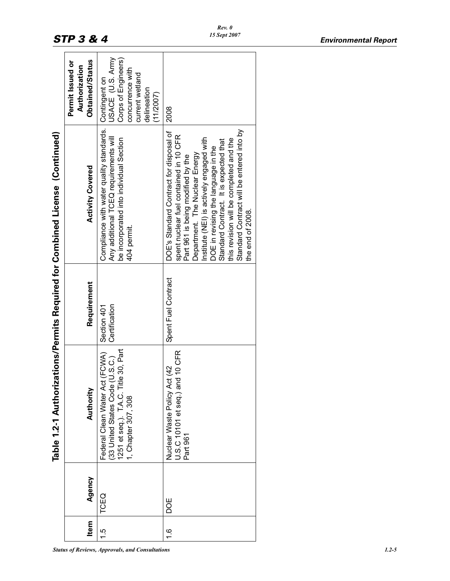|                                                                              | Obtained/Status<br>Permit Issued or<br>Authorization | USACE (U.S. Army<br>Corps of Engineers)<br>concurrence with<br>current wetland<br>Contingent on<br>delineation<br>(11/2007)                 | 2008                                                                                                                                                                                                                                                                                                                                                                                             |
|------------------------------------------------------------------------------|------------------------------------------------------|---------------------------------------------------------------------------------------------------------------------------------------------|--------------------------------------------------------------------------------------------------------------------------------------------------------------------------------------------------------------------------------------------------------------------------------------------------------------------------------------------------------------------------------------------------|
| Table 1.2-1 Authorizations/Permits Required for Combined License (Continued) | <b>Activity Covered</b>                              | Compliance with water quality standards.<br>Any additional TCEQ requirements will<br>be incorporated into individual Section<br>404 permit. | Standard Contract will be entered into by<br>DOE's Standard Contract for disposal of<br>spent nuclear fuel contained in 10 CFR<br>nstitute (NEI) is actively engaged with<br>this revision will be completed and the<br>Standard Contract. It is expected that<br>DOE in revising the language in the<br>Department. The Nuclear Energy<br>Part 961 is being modified by the<br>the end of 2008. |
|                                                                              | Requirement                                          | Certification<br>Section 401                                                                                                                | Spent Fuel Contract                                                                                                                                                                                                                                                                                                                                                                              |
|                                                                              | Authority                                            | 1251 et seq.). T.A.C. Title 30, Part<br>Federal Clean Water Act (FCWA)<br>(33 United States Code (U.S.C.)<br>1, Chapter 307, 308            | J.S.C 10101 et seq.) and 10 CFR<br>Nuclear Waste Policy Act (42<br>Part 961                                                                                                                                                                                                                                                                                                                      |
|                                                                              | Agency                                               | TCEQ                                                                                                                                        | <b>DOE</b>                                                                                                                                                                                                                                                                                                                                                                                       |
|                                                                              | <b>Item</b>                                          | يا                                                                                                                                          | $\frac{6}{1}$                                                                                                                                                                                                                                                                                                                                                                                    |

*Rev. 0 15 Sept 2007*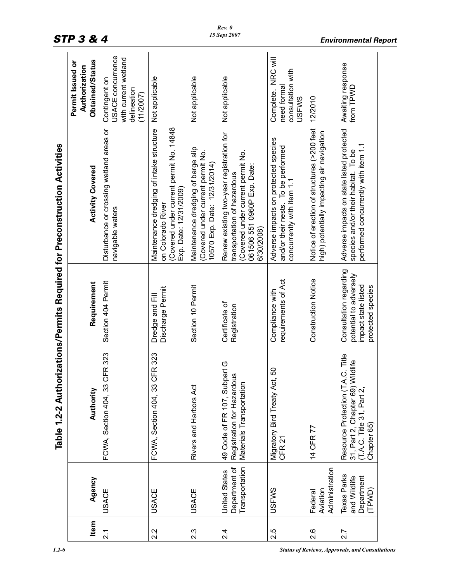|      |                                                         |                                                                                                                   |                                                                                              | Table 1.2-2 Authorizations/Permits Required for Preconstruction Activities                                                                               |                                                                                        |
|------|---------------------------------------------------------|-------------------------------------------------------------------------------------------------------------------|----------------------------------------------------------------------------------------------|----------------------------------------------------------------------------------------------------------------------------------------------------------|----------------------------------------------------------------------------------------|
| Item | Agency                                                  | Authority                                                                                                         | Requirement                                                                                  | <b>Activity Covered</b>                                                                                                                                  | Obtained/Status<br>Permit Issued or<br>Authorization                                   |
| 2.1  | <b>USACE</b>                                            | CFR 323<br>FCWA, Section 404, 33                                                                                  | Section 404 Permit                                                                           | Disturbance or crossing wetland areas or<br>navigable waters                                                                                             | USACE concurrence<br>with current wetland<br>Contingent on<br>delineation<br>(11/2007) |
| 2.2  | <b>USACE</b>                                            | CFR 323<br>FCWA, Section 404, 33                                                                                  | Discharge Permit<br>Dredge and Fill                                                          | (Covered under current permit No. 14848)<br>Maintenance dredging of intake structure<br>Exp. Date: 12/31/2009)<br>on Colorado River                      | Not applicable                                                                         |
| 2.3  | <b>USACE</b>                                            | Rivers and Harbors Act                                                                                            | Section 10 Permit                                                                            | Maintenance dredging of barge slip<br>Covered under current permit No.<br>10570 Exp. Date: 12/31/2014)                                                   | Not applicable                                                                         |
| 2.4  | Department of<br>Transportation<br><b>United States</b> | part G<br>Registration for Hazardous<br>49 Code of FR 107, Subp<br>Materials Transportation                       | Certificate of<br>Registration                                                               | Renew existing two-year registration for<br>Covered under current permit No.<br>061506 551 0960P Exp. Date:<br>transportation of hazardous<br>6/30/2008) | Not applicable                                                                         |
| 2.5  | <b>USFWS</b>                                            | SO<br>Migratory Bird Treaty Act<br>CFR <sub>21</sub>                                                              | requirements of Act<br>Compliance with                                                       | Adverse impacts on protected species<br>and/or their nests. To be performed<br>concurrently with item 1.1                                                | NRC will<br>consultation with<br>need forma<br>Complete.<br><b>USFWS</b>               |
| 2.6  | Administration<br>Aviation<br>Federal                   | 14 CFR 77                                                                                                         | <b>Construction Notice</b>                                                                   | Notice of erection of structures (>200 feet<br>high) potentially impacting air navigation                                                                | 12/2010                                                                                |
| 2.7  | Texas Parks<br>and Wildlife<br>Department<br>(TPWD)     | Resource Protection (T.A.C. Title<br>31, Part 2, Chapter 69) Wildlife<br>(T.A.C. Title 31, Part 2,<br>Chapter 65) | Consultation regarding<br>potential to adversely<br>impact state listed<br>protected species | Adverse impacts on state listed protected<br>performed concurrently with item 1.1<br>species and/or their habitat. To be                                 | Awaiting response<br>from TPWD                                                         |

*STP 3 & 4 Environmental Report*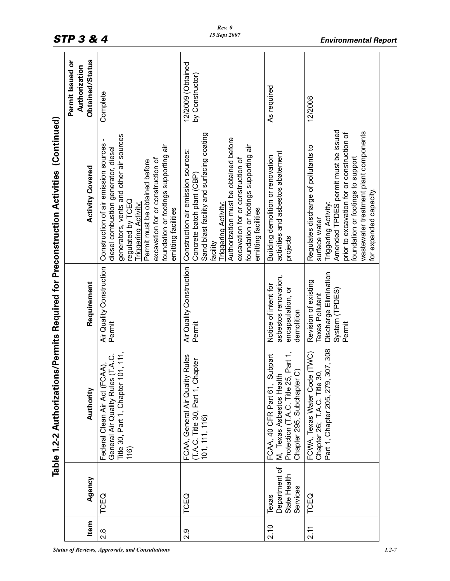|                                                                                        | Obtained/Status<br>Permit Issued or<br>Authorization | Complete                                                                                                                                                                                                                                                                                                        | 12/2009 (Obtained<br>by Constructor)                                                                                                                                                                                                                                                                   | As required                                                                                                                        | 12/2008                                                                                                                                                                                                                                                                           |
|----------------------------------------------------------------------------------------|------------------------------------------------------|-----------------------------------------------------------------------------------------------------------------------------------------------------------------------------------------------------------------------------------------------------------------------------------------------------------------|--------------------------------------------------------------------------------------------------------------------------------------------------------------------------------------------------------------------------------------------------------------------------------------------------------|------------------------------------------------------------------------------------------------------------------------------------|-----------------------------------------------------------------------------------------------------------------------------------------------------------------------------------------------------------------------------------------------------------------------------------|
| Table 1.2-2 Authorizations/Permits Required for Preconstruction Activities (Continued) | <b>Activity Covered</b>                              | generators, vents and other air sources<br>1<br>Construction of air emission sources<br>foundation or footings supporting air<br>diesel combustion generator, diesel<br>excavation for or construction of<br>Permit must be obtained before<br>regulated by TCEQ<br>Triggering Activity:<br>emitting facilities | Sand blast facility and surfacing coating<br>Authorization must be obtained before<br>foundation or footings supporting air<br>Construction air emission sources:<br>excavation for or construction of<br>Concrete batch plant (CBP)<br><b>Triggering Activity:</b><br>emitting facilities<br>facility | activities and asbestos abatement<br>Building demolition or renovation<br>projects                                                 | Amended TPDES permit must be issued<br>wastewater treatment plant components<br>prior to excavation for or construction of<br>Regulates discharge of pollutants to<br>foundation or footings to support<br>for expanded capacity.<br><b>Triggering Activity:</b><br>surface water |
|                                                                                        | Requirement                                          | Air Quality Construction<br>Permit                                                                                                                                                                                                                                                                              | Air Quality Construction<br>Permit                                                                                                                                                                                                                                                                     | asbestos renovation,<br>Notice of intent for<br>encapsulation, or<br>demolition                                                    | Discharge Elimination<br>Revision of existing<br>System (TPDES<br><b>Texas Pollutant</b><br>Permit                                                                                                                                                                                |
|                                                                                        | Authority                                            | Title 30, Part 1, Chapter 101, 111,<br>General Air Quality Rules (T.A.C.<br>Federal Clean Air Act (FCAA),<br>(116)                                                                                                                                                                                              | FCAA, General Air Quality Rules<br>(T.A.C. Title 30, Part 1, Chapter<br>101, 111, 116)                                                                                                                                                                                                                 | Protection (T.A.C. Title 25, Part 1,<br>Subpart<br>Chapter 295, Subchapter C)<br>M, Texas Asbestos Health<br>FCAA, 40 CFR Part 61, | 307,308<br>FCWA, Texas Water Code (TWC)<br>Chapter 26; T.A.C. Title 30,<br>Part 1, Chapter 205, 279,                                                                                                                                                                              |
|                                                                                        | Agency                                               | TCEQ                                                                                                                                                                                                                                                                                                            | TCEQ                                                                                                                                                                                                                                                                                                   | Department of<br>State Health<br>Services<br>Texas                                                                                 | TCEQ                                                                                                                                                                                                                                                                              |
|                                                                                        | Item                                                 | 2.8                                                                                                                                                                                                                                                                                                             | 2.9                                                                                                                                                                                                                                                                                                    | 2.10                                                                                                                               | 2.11                                                                                                                                                                                                                                                                              |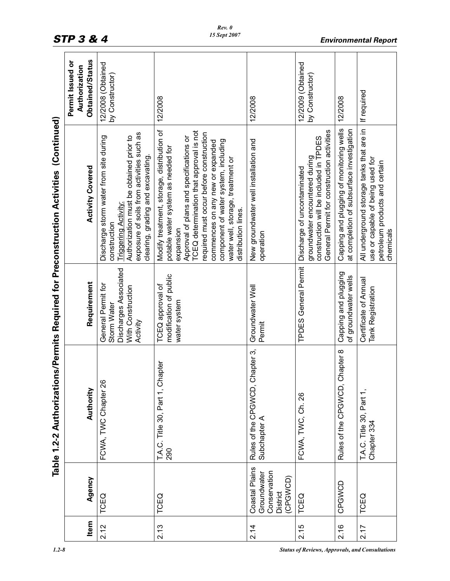|      |                                                                       |                                                 |                                                                                             | Table 1.2-2 Authorizations/Permits Required for Preconstruction Activities (Continued)                                                                                                                                                                                                                                                                                 |                                                      |
|------|-----------------------------------------------------------------------|-------------------------------------------------|---------------------------------------------------------------------------------------------|------------------------------------------------------------------------------------------------------------------------------------------------------------------------------------------------------------------------------------------------------------------------------------------------------------------------------------------------------------------------|------------------------------------------------------|
| Item | Agency                                                                | Authority                                       | Requirement                                                                                 | <b>Activity Covered</b>                                                                                                                                                                                                                                                                                                                                                | Obtained/Status<br>Permit Issued or<br>Authorization |
| 2.12 | TCEQ                                                                  | FCWA, TWC Chapter 26                            | Discharges Associated<br>General Permit for<br>With Construction<br>Storm Water<br>Activity | exposure of soils from activities such as<br>Authorization must be obtained prior to<br>Discharge storm water from site during<br>clearing, grading and excavating<br><b>Triggering Activity:</b><br>construction                                                                                                                                                      | 12/2008 (Obtained<br>by Constructor)                 |
| 2.13 | TCEQ                                                                  | rapter<br>T.A.C. Title 30, Part 1, Cl<br>290    | modification of public<br>TCEQ approval of<br>water system                                  | Modify treatment, storage, distribution of<br>TCEQ determination that approval is not<br>required must occur before construction<br>Approval of plans and specifications or<br>component of water system, including<br>commences on any new or expanded<br>potable water system as needed for<br>water well, storage, treatment or<br>distribution lines.<br>expansion | 12/2008                                              |
| 2.14 | Coastal Plains<br>Conservation<br>Groundwater<br>(CPGWCD)<br>District | Rules of the CPGWCD, Chapter 3,<br>Subchapter A | Groundwater Well<br>Permit                                                                  | New groundwater well installation and<br>operation                                                                                                                                                                                                                                                                                                                     | 12/2008                                              |
| 2.15 | TCEQ                                                                  | FCWA, TWC, Ch. 26                               | <b>TPDES General Permit</b>                                                                 | General Permit for construction activities<br>construction will be included in TPDES<br>groundwater encountered during<br>Discharge of uncontaminated                                                                                                                                                                                                                  | 12/2009 (Obtained<br>by Constructor)                 |
| 2.16 | CPGWCD                                                                | Chapter 8<br>Rules of the CPGWCD,               | Capping and plugging<br>of groundwater wells                                                | Caping and plugging of monitoring wells<br>at completion of subsurface investigation                                                                                                                                                                                                                                                                                   | 12/2008                                              |
| 2.17 | TCEQ                                                                  | T.A.C. Title 30, Part 1,<br>Chapter 334         | Certificate of Annual<br>Tank Registration                                                  | All underground storage tanks that are in<br>use or capable of being used for<br>petroleum products and certain<br>chemicals                                                                                                                                                                                                                                           | If required                                          |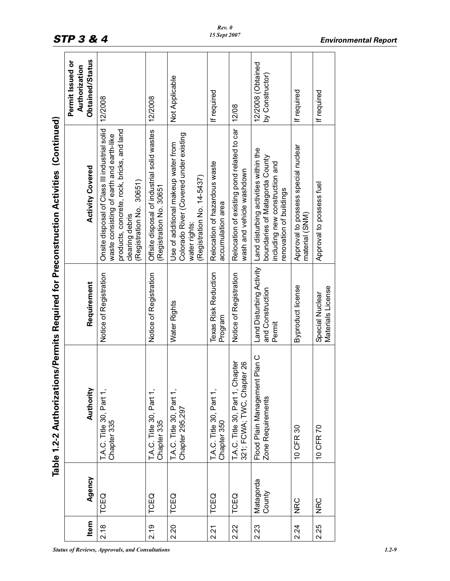|                                                                                        | Obtained/Status<br>Permit Issued or<br>Authorization | 12/2008                                                                                                                                                                                | 12/2008                                                               | Not Applicable                                                                                                               | If required                                        | 12/08                                                                         | 12/2008 (Obtained<br>by Constructor)                                                                                                 | If required                                           | If required                          |
|----------------------------------------------------------------------------------------|------------------------------------------------------|----------------------------------------------------------------------------------------------------------------------------------------------------------------------------------------|-----------------------------------------------------------------------|------------------------------------------------------------------------------------------------------------------------------|----------------------------------------------------|-------------------------------------------------------------------------------|--------------------------------------------------------------------------------------------------------------------------------------|-------------------------------------------------------|--------------------------------------|
| Table 1.2-2 Authorizations/Permits Required for Preconstruction Activities (Continued) | <b>Activity Covered</b>                              | Onsite disposal of Class III industrial solid<br>products, concrete, rock, bricks, and land<br>waste consisting of earth and earth-like<br>(Registration No. 30651)<br>clearing debris | Offsite disposal of industrial solid wastes<br>Registration No. 30651 | Colorado River (Covered under existing<br>Use of additional makeup water from<br>(Registration No. 14-5437)<br>water rights: | Relocation of hazardous waste<br>accumulation area | Relocation of existing pond related to car<br>wash and vehicle washdown       | Land disturbing activities within the<br>boundaries of Matagorda County<br>including new construction and<br>renovation of buildings | Approval to possess special nuclear<br>material (SNM) | Approval to possess fuel             |
|                                                                                        | Requirement                                          | Notice of Registration                                                                                                                                                                 | Notice of Registration                                                | Water Rights                                                                                                                 | Texas Risk Reduction<br>Program                    | Notice of Registration                                                        | Land Disturbing Activity<br>and Construction<br>Permit                                                                               | Byproduct license                                     | Materials License<br>Special Nuclear |
|                                                                                        | Authority                                            | <b>T.A.C.</b> Title 30, Part 1,<br>Chapter 335                                                                                                                                         | T.A.C. Title 30, Part 1,<br>Chapter 335                               | T.A.C. Title 30, Part 1,<br>Chapter 295,297                                                                                  | T.A.C. Title 30, Part 1,<br>Chapter 350            | T.A.C. Title 30, Part 1, Chapter<br>pter <sub>26</sub><br>321; FCWA; TWC, Cha | nt Plan C<br>Flood Plain Managemer<br>Zone Requirements                                                                              | 10 CFR 30                                             | 10 CFR 70                            |
|                                                                                        | Agency                                               | TCEQ                                                                                                                                                                                   | TCEQ                                                                  | TCEQ                                                                                                                         | TCEQ                                               | TCEQ                                                                          | Matagorda<br>County                                                                                                                  | <b>NRC</b>                                            | <b>NRC</b>                           |
|                                                                                        | Item                                                 | 2.18                                                                                                                                                                                   | 2.19                                                                  | 2.20                                                                                                                         | 2.21                                               | 2.22                                                                          | 2.23                                                                                                                                 | 2.24                                                  | 2.25                                 |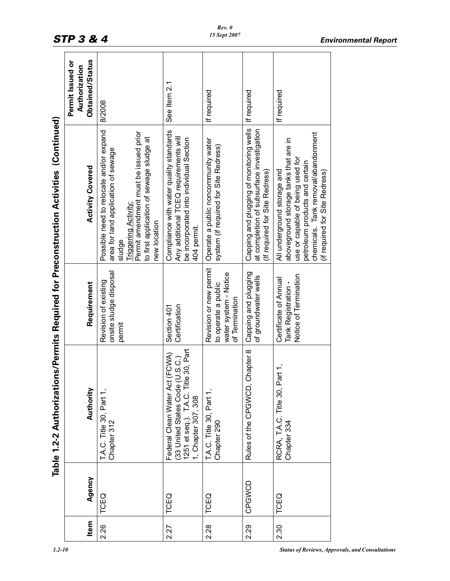|                                                                                       | Obtained/Status<br>Permit Issued or<br>Authorization | 8/2008                                                                                                                                                                                                                      | See Item 2.1                                                                                                                               | If required                                                                              | If required                                                                                                             | If required                                                                                                                                                                                                         |
|---------------------------------------------------------------------------------------|------------------------------------------------------|-----------------------------------------------------------------------------------------------------------------------------------------------------------------------------------------------------------------------------|--------------------------------------------------------------------------------------------------------------------------------------------|------------------------------------------------------------------------------------------|-------------------------------------------------------------------------------------------------------------------------|---------------------------------------------------------------------------------------------------------------------------------------------------------------------------------------------------------------------|
| Table 1.2-2 Authorizations/Permits Required for Preconstruction Activities(Continued) | <b>Activity Covered</b>                              | Possible need to relocate and/or expand<br>Permit amendment must be issued prior<br>to first application of sewage sludge at<br>area for land application of sewage<br><b>Triggering Activity</b><br>new location<br>sludge | Compliance with water quality standards<br>Any additional TCEQ requirements will<br>be incorporated into individual Section<br>404 permit. | Operate a public noncommunity water<br>system (if required for Site Redress)             | Capping and plugging of monitoring wells<br>at completion of subsurface investigation<br>(If required for Site Redress) | chemicals. Tank removal/abandonment<br>aboveground storage tanks that are in<br>use or capable of being used for<br>petroleum products and certain<br>All underground storage and<br>(if required for Site Redress) |
|                                                                                       | Requirement                                          | onsite sludge disposal<br>Revision of existing<br>permit                                                                                                                                                                    | Certification<br>Section 401                                                                                                               | Revision or new permit<br>water system - Notice<br>to operate a public<br>of Termination | Capping and plugging<br>of groundwater wells                                                                            | Notice of Termination<br>Certificate of Annual<br>Tank Registration -                                                                                                                                               |
|                                                                                       | Authority                                            | T.A.C. Title 30, Part 1,<br>Chapter 312                                                                                                                                                                                     | 1251 et seq.). T.A.C. Title 30, Part<br>1, Chapter 307, 308<br>Federal Clean Water Act (FCWA)<br>(33 United States Code (U.S.C.)           | T.A.C. Title 30, Part 1,<br>Chapter 290                                                  | Chapter 8<br>Rules of the CPGWCD,                                                                                       | RCRA, T.A.C. Title 30, Part 1,<br>Chapter 334                                                                                                                                                                       |
|                                                                                       | Agency                                               | TCEQ                                                                                                                                                                                                                        | TCEQ                                                                                                                                       | TCEQ                                                                                     | CPGWCD                                                                                                                  | TCEQ                                                                                                                                                                                                                |
|                                                                                       | Item                                                 | 2.26                                                                                                                                                                                                                        | 2.27                                                                                                                                       | 2.28                                                                                     | 2.29                                                                                                                    | 2.30                                                                                                                                                                                                                |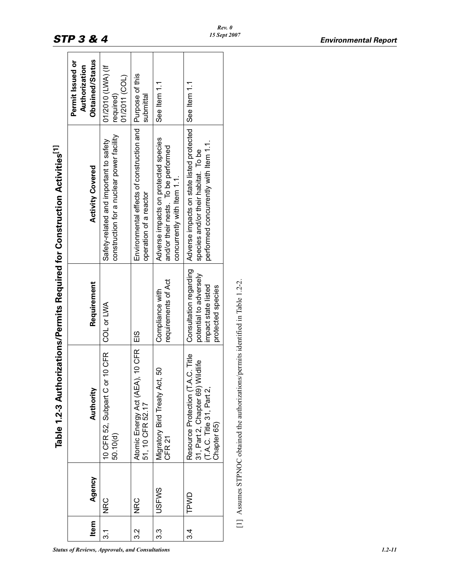|         |          |                                                                                                                   |                                                                                              | <b>SAMPLE SERVISHS IN THE SAMPLE SERVISHER AND INTERNATIONAL SERVISHS AND INTERNATIONAL SAMPLE STATES IN THE SAMPLE STATES IN THE SAMPLE STATES IN THE SAMPLE STATES IN THE SAMPLE SAMPLE SAMPLE SAMPLE SAMPLE SAMPLE SAMPLE SAM</b> |                                                      |
|---------|----------|-------------------------------------------------------------------------------------------------------------------|----------------------------------------------------------------------------------------------|--------------------------------------------------------------------------------------------------------------------------------------------------------------------------------------------------------------------------------------|------------------------------------------------------|
| Item    | Agency   | Authority                                                                                                         | Requirement                                                                                  | <b>Activity Covered</b>                                                                                                                                                                                                              | Obtained/Status<br>Permit Issued or<br>Authorization |
| .<br>೧  | NRC      | <b>10 CFR</b><br>10 CFR 52, Subpart C or<br>50.10(d)                                                              | COL or LWA                                                                                   | construction for a nuclear power facility<br>Safety-related and important to safety                                                                                                                                                  | 01/2010 (LWA) (If<br>01/2011 (COL)<br>required)      |
| ვ<br>ვ  | NRC<br>M | $, 10$ CFR<br>Atomic Energy Act (AEA)<br>51, 10 CFR 52.17                                                         | EIS                                                                                          | Environmental effects of construction and Purpose of this<br>operation of a reactor                                                                                                                                                  | submittal                                            |
| ვ<br>ვ  | JSFWS    | ვ<br>Migratory Bird Treaty Act,<br>CFR 21                                                                         | requirements of Act<br>Compliance with                                                       | Adverse impacts on protected species<br>and/or their nests. To be performed<br>concurrently with Item 1.1.                                                                                                                           | See Item 1.1                                         |
| ઝ.<br>જ | TPWD     | Resource Protection (T.A.C. Title<br>31, Part 2, Chapter 69) Wildlife<br>(T.A.C. Title 31, Part 2,<br>Chapter 65) | Consultation regarding<br>potential to adversely<br>impact state listed<br>protected species | Adverse impacts on state listed protected<br>performed concurrently with Item 1.1.<br>species and/or their habitat. To be                                                                                                            | See Item 1.1                                         |
|         |          | [1] Assumes STPNOC obtained the authorizations/permits identified in Table 1.2-2.                                 |                                                                                              |                                                                                                                                                                                                                                      |                                                      |

Authorizations/Permits Required for Construction Activities<sup>[1]</sup> **Table 1.2-3 Authorizations/Permits Required for Construction Activities[1]**  $\mathbf{C}$ **Table 1.2-**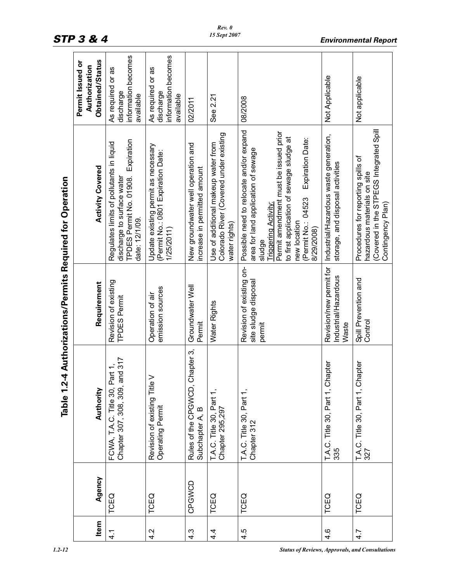|                                                           | Obtained/Status<br>Permit Issued or<br>Authorization | information becomes<br>As required or as<br>discharge<br>available                                                             | information becomes<br>As required or as<br>discharge<br>available                      | 02/2011                                                            | See 2.21                                                                                       | 08/2008                                                                                                                                                                                                                                                                             | Not Applicable                                                             | Not applicable                                                                                                                    |
|-----------------------------------------------------------|------------------------------------------------------|--------------------------------------------------------------------------------------------------------------------------------|-----------------------------------------------------------------------------------------|--------------------------------------------------------------------|------------------------------------------------------------------------------------------------|-------------------------------------------------------------------------------------------------------------------------------------------------------------------------------------------------------------------------------------------------------------------------------------|----------------------------------------------------------------------------|-----------------------------------------------------------------------------------------------------------------------------------|
| Table 1.2-4 Authorizations/Permits Required for Operation | <b>Activity Covered</b>                              | TPDES Permit No. 01908. Expiration<br>Regulates limits of pollutants in liquid<br>discharge to surface water<br>date: 12/1/09. | Update existing permit as necessary<br>(Permit No.: 0801 Expiration Date:<br>1/25/2011) | New groundwater well operation and<br>increase in permitted amount | Colorado River (Covered under existing<br>Use of additional makeup water from<br>water rights) | Possible need to relocate and/or expand<br>Permit amendment must be issued prior<br>to first application of sewage sludge at<br>Expiration Date:<br>area for land application of sewage<br>(Permit No.: 04523<br><b>Triggering Activity</b><br>new location<br>8/29/2008)<br>sludge | Industrial/Hazardous waste generation,<br>storage, and disposal activities | (Covered in the STPEGS Integrated Spill<br>Procedures for reporting spills of<br>hazardous materials on site<br>Contingency Plan) |
|                                                           | Requirement                                          | Revision of existing<br>TPDES Permit                                                                                           | emission sources<br>Operation of air                                                    | Groundwater Well<br>Permit                                         | Water Rights                                                                                   | Revision of existing on-<br>site sludge disposal<br>permit                                                                                                                                                                                                                          | Revision/new permit for<br>Industrial/Hazardous<br>Waste                   | Spill Prevention and<br>Control                                                                                                   |
|                                                           | Authority                                            | Chapter 307, 308, 309, and 317<br>FCWA, T.A.C. Title 30, Part 1,                                                               | Revision of existing Title V<br>Operating Permit                                        | Chapter 3,<br>Rules of the CPGWCD,<br>Subchapter A, B              | T.A.C. Title 30, Part 1,<br>Chapter 295,297                                                    | T.A.C. Title 30, Part 1,<br>Chapter 312                                                                                                                                                                                                                                             | T.A.C. Title 30, Part 1, Chapter<br>335                                    | T.A.C. Title 30, Part 1, Chapter<br>327                                                                                           |
|                                                           | Agency                                               | TCEQ                                                                                                                           | TCEQ                                                                                    | CPGWCD                                                             | TCEQ                                                                                           | TCEQ                                                                                                                                                                                                                                                                                | TCEQ                                                                       | TCEQ                                                                                                                              |
|                                                           | Item                                                 | 4.1                                                                                                                            | 4.2                                                                                     | $4.\overline{3}$                                                   | $4\overline{4}$                                                                                | 4.5                                                                                                                                                                                                                                                                                 | 4.6                                                                        | 4.7                                                                                                                               |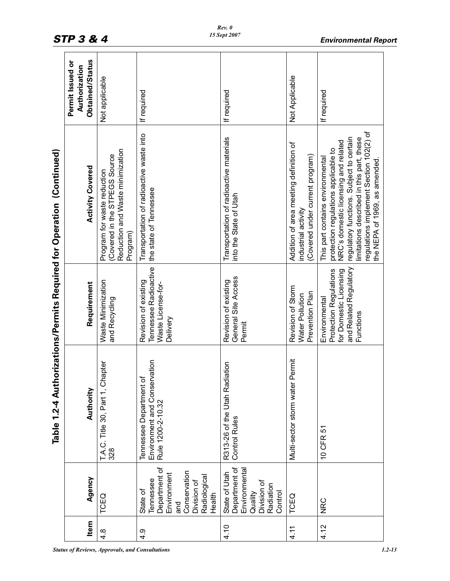|                                                                       | Obtained/Status<br>Permit Issued or<br>Authorization | Not applicable                                                                                              | If required                                                                                                           | If required                                                                                       | Not Applicable                                                                                   | If required                                                                                                                                                                                                                                                                          |
|-----------------------------------------------------------------------|------------------------------------------------------|-------------------------------------------------------------------------------------------------------------|-----------------------------------------------------------------------------------------------------------------------|---------------------------------------------------------------------------------------------------|--------------------------------------------------------------------------------------------------|--------------------------------------------------------------------------------------------------------------------------------------------------------------------------------------------------------------------------------------------------------------------------------------|
| Table 1.2-4 Authorizations/Permits Required for Operation (Continued) | <b>Activity Covered</b>                              | Reduction and Waste minimization<br>Covered in the STPEGS Source<br>Program for waste reduction<br>Program) | Transportation of radioactive waste into<br>the state of Tennessee                                                    | Transportation of radioactive materials<br>into the State of Utah                                 | Addition of area meeting definition of<br>(Covered under current program)<br>industrial activity | regulations implement Section 102(2) of<br>regulatory functions. Subject to certain<br>limitations described in this part, these<br>NRC's domestic licensing and related<br>protection regulations applicable to<br>This part contains environmental<br>the NEPA of 1969, as amended |
|                                                                       | Requirement                                          | Waste Minimization<br>and Recycling                                                                         | Tennessee Radioactive<br>Revision of existing<br>Waste License-for-<br>Delivery                                       | General Site Access<br>Revision of existing<br>Permit                                             | Revision of Storm<br>Prevention Plan<br>Water Pollution                                          | and Related Regulatory<br>for Domestic Licensing<br><b>Protection Regulations</b><br>Environmental<br>Functions                                                                                                                                                                      |
|                                                                       | Authority                                            | T.A.C. Title 30, Part 1, Chapter<br>328                                                                     | Environment and Conservation<br>Tennessee Department of<br>Rule 1200-2-10.32                                          | diation<br>R313-26 of the Utah Ra<br>Control Rules                                                | Permit<br>Multi-sector storm water                                                               | 10 CFR 51                                                                                                                                                                                                                                                                            |
|                                                                       | Agency                                               | TCEQ                                                                                                        | Department of<br>Conservation<br>Environment<br>Radiological<br>Tennessee<br>Division of<br>State of<br>Health<br>and | Department of<br>Environmental<br>State of Utah<br>Division of<br>Radiation<br>Control<br>Quality | TCEQ                                                                                             | <b>NRC</b>                                                                                                                                                                                                                                                                           |
|                                                                       | Item                                                 | $4.\overline{8}$                                                                                            | 4.9                                                                                                                   | 4.10                                                                                              | 4.11                                                                                             | 4.12                                                                                                                                                                                                                                                                                 |

*Rev. 0 15 Sept 2007*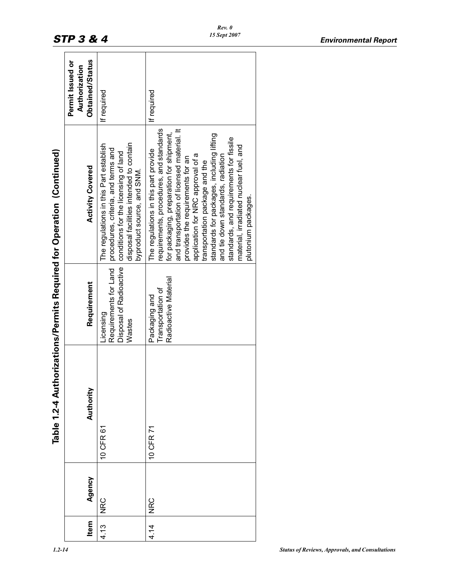|                                                        | Obtained/Status<br>Permit Issued or<br>Authorization | If required                                                                                                                                                                                    | If required                                                                                                                                                                                                                                                                                                                                                                                                                                                                         |
|--------------------------------------------------------|------------------------------------------------------|------------------------------------------------------------------------------------------------------------------------------------------------------------------------------------------------|-------------------------------------------------------------------------------------------------------------------------------------------------------------------------------------------------------------------------------------------------------------------------------------------------------------------------------------------------------------------------------------------------------------------------------------------------------------------------------------|
| horizations/Permits Required for Operation (Continued) | <b>Activity Covered</b>                              | disposal facilities intended to contain<br>The regulations in this Part establish<br>procedures, criteria, and terms and<br>conditions for the licensing of land<br>byproduct source, and SNM. | requirements, procedures, and standards<br>and transportation of licensed material. It<br>for packaging, preparation for shipment,<br>standards for packages, including lifting<br>standards, and requirements for fissile<br>material, irradiated nuclear fuel, and<br>The regulations in this part provide<br>application for NRC approval of a<br>and tie down standards, radiation<br>provides the requirements for an<br>transportation package and the<br>plutonium packages. |
|                                                        | Requirement                                          | Disposal of Radioactive<br>Requirements for Land<br>Licensing<br>Wastes                                                                                                                        | Radioactive Material<br>Transportation of<br>Packaging and                                                                                                                                                                                                                                                                                                                                                                                                                          |
| Table 1.2-4 Autl                                       | Authority                                            | 10 CFR 61                                                                                                                                                                                      | 10 CFR 71                                                                                                                                                                                                                                                                                                                                                                                                                                                                           |
|                                                        | Agency                                               | <b>NRC</b>                                                                                                                                                                                     | NRC<br>                                                                                                                                                                                                                                                                                                                                                                                                                                                                             |
|                                                        | Item                                                 | 4.13                                                                                                                                                                                           | 4.14                                                                                                                                                                                                                                                                                                                                                                                                                                                                                |